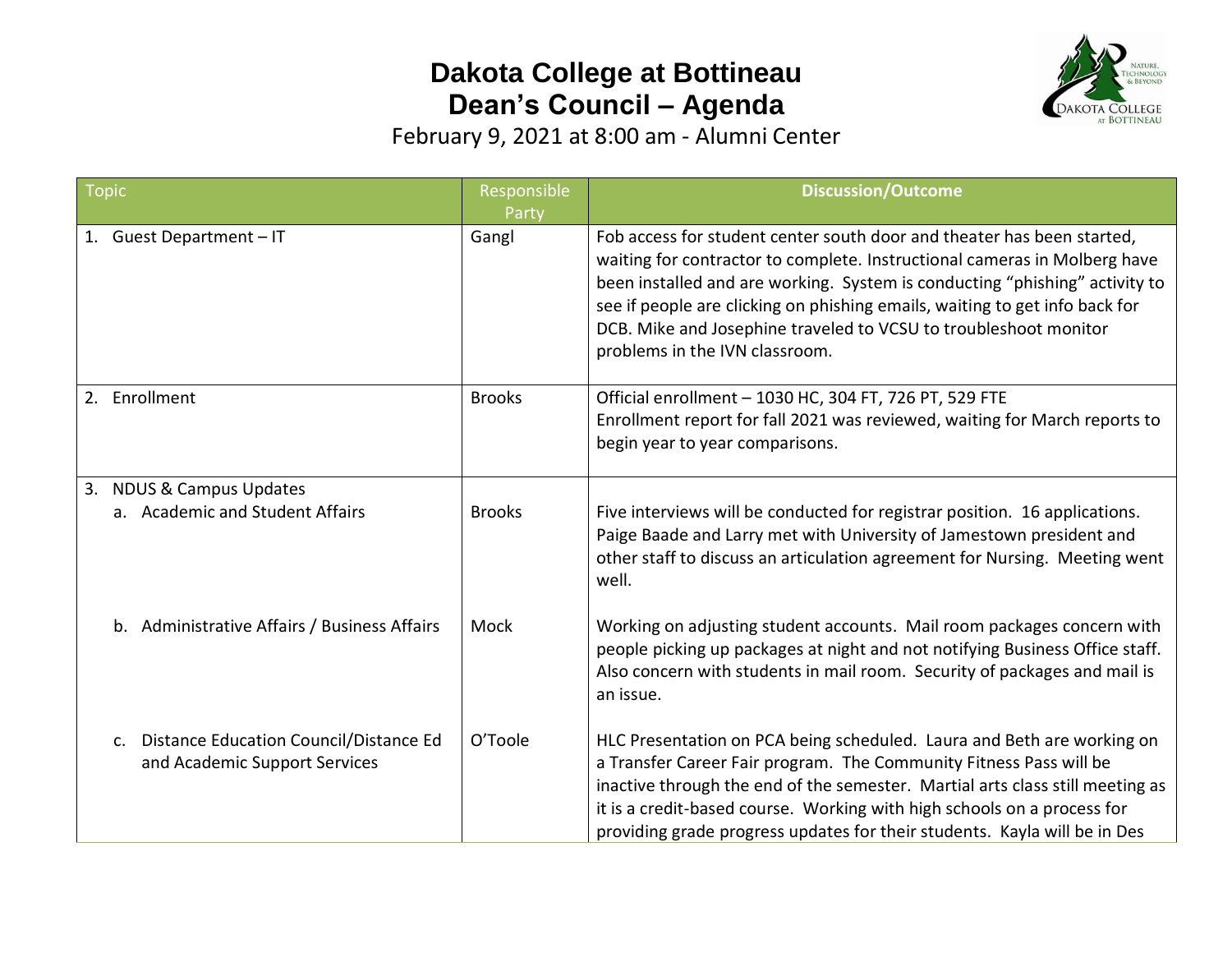## **Dakota College at Bottineau Dean's Council – Agenda**



February 9, 2021 at 8:00 am - Alumni Center

| Topic                                                                                     | Responsible    | <b>Discussion/Outcome</b>                                                                                                                                                                                                                                                                                                                                                                                               |
|-------------------------------------------------------------------------------------------|----------------|-------------------------------------------------------------------------------------------------------------------------------------------------------------------------------------------------------------------------------------------------------------------------------------------------------------------------------------------------------------------------------------------------------------------------|
| 1. Guest Department - IT                                                                  | Party<br>Gangl | Fob access for student center south door and theater has been started,<br>waiting for contractor to complete. Instructional cameras in Molberg have<br>been installed and are working. System is conducting "phishing" activity to<br>see if people are clicking on phishing emails, waiting to get info back for<br>DCB. Mike and Josephine traveled to VCSU to troubleshoot monitor<br>problems in the IVN classroom. |
| 2. Enrollment                                                                             | <b>Brooks</b>  | Official enrollment - 1030 HC, 304 FT, 726 PT, 529 FTE<br>Enrollment report for fall 2021 was reviewed, waiting for March reports to<br>begin year to year comparisons.                                                                                                                                                                                                                                                 |
| 3. NDUS & Campus Updates<br>a. Academic and Student Affairs                               | <b>Brooks</b>  | Five interviews will be conducted for registrar position. 16 applications.<br>Paige Baade and Larry met with University of Jamestown president and<br>other staff to discuss an articulation agreement for Nursing. Meeting went<br>well.                                                                                                                                                                               |
| b. Administrative Affairs / Business Affairs                                              | Mock           | Working on adjusting student accounts. Mail room packages concern with<br>people picking up packages at night and not notifying Business Office staff.<br>Also concern with students in mail room. Security of packages and mail is<br>an issue.                                                                                                                                                                        |
| Distance Education Council/Distance Ed<br>$\mathsf{C}$ .<br>and Academic Support Services | O'Toole        | HLC Presentation on PCA being scheduled. Laura and Beth are working on<br>a Transfer Career Fair program. The Community Fitness Pass will be<br>inactive through the end of the semester. Martial arts class still meeting as<br>it is a credit-based course. Working with high schools on a process for<br>providing grade progress updates for their students. Kayla will be in Des                                   |